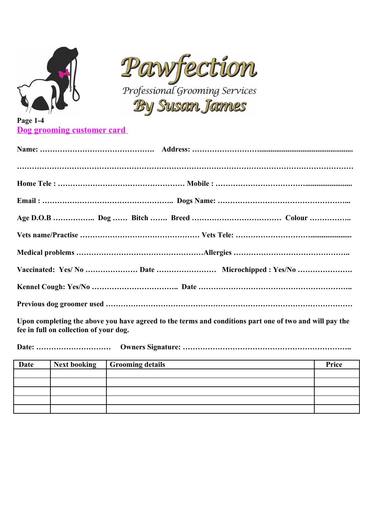



## **Page 1-4 Dog grooming customer card**

**Upon completing the above you have agreed to the terms and conditions part one of two and will pay the fee in full on collection of your dog.**

**Date: ………………………… Owners Signature: …………………………………………………………..**

| Date | Next booking   Grooming details | Price |
|------|---------------------------------|-------|
|      |                                 |       |
|      |                                 |       |
|      |                                 |       |
|      |                                 |       |
|      |                                 |       |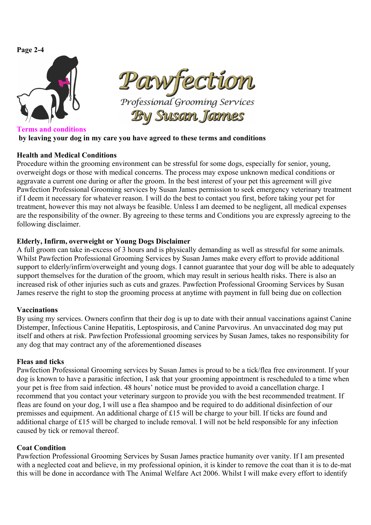# **Page 2-4**



**Terms and conditions by leaving your dog in my care you have agreed to these terms and conditions** 

# **Health and Medical Conditions**

Procedure within the grooming environment can be stressful for some dogs, especially for senior, young, overweight dogs or those with medical concerns. The process may expose unknown medical conditions or aggravate a current one during or after the groom. In the best interest of your pet this agreement will give Pawfection Professional Grooming services by Susan James permission to seek emergency veterinary treatment if I deem it necessary for whatever reason. I will do the best to contact you first, before taking your pet for treatment, however this may not always be feasible. Unless I am deemed to be negligent, all medical expenses are the responsibility of the owner. By agreeing to these terms and Conditions you are expressly agreeing to the following disclaimer.

## **Elderly, Infirm, overweight or Young Dogs Disclaimer**

A full groom can take in-excess of 3 hours and is physically demanding as well as stressful for some animals. Whilst Pawfection Professional Grooming Services by Susan James make every effort to provide additional support to elderly/infirm/overweight and young dogs. I cannot guarantee that your dog will be able to adequately support themselves for the duration of the groom, which may result in serious health risks. There is also an increased risk of other injuries such as cuts and grazes. Pawfection Professional Grooming Services by Susan James reserve the right to stop the grooming process at anytime with payment in full being due on collection

#### **Vaccinations**

By using my services. Owners confirm that their dog is up to date with their annual vaccinations against Canine Distemper, Infectious Canine Hepatitis, Leptospirosis, and Canine Parvovirus. An unvaccinated dog may put itself and others at risk. Pawfection Professional grooming services by Susan James, takes no responsibility for any dog that may contract any of the aforementioned diseases

# **Fleas and ticks**

Pawfection Professional Grooming services by Susan James is proud to be a tick/flea free environment. If your dog is known to have a parasitic infection, I ask that your grooming appointment is rescheduled to a time when your pet is free from said infection. 48 hours' notice must be provided to avoid a cancellation charge. I recommend that you contact your veterinary surgeon to provide you with the best recommended treatment. If fleas are found on your dog, I will use a flea shampoo and be required to do additional disinfection of our premisses and equipment. An additional charge of £15 will be charge to your bill. If ticks are found and additional charge of £15 will be charged to include removal. I will not be held responsible for any infection caused by tick or removal thereof.

# **Coat Condition**

Pawfection Professional Grooming Services by Susan James practice humanity over vanity. If I am presented with a neglected coat and believe, in my professional opinion, it is kinder to remove the coat than it is to de-mat this will be done in accordance with The Animal Welfare Act 2006. Whilst I will make every effort to identify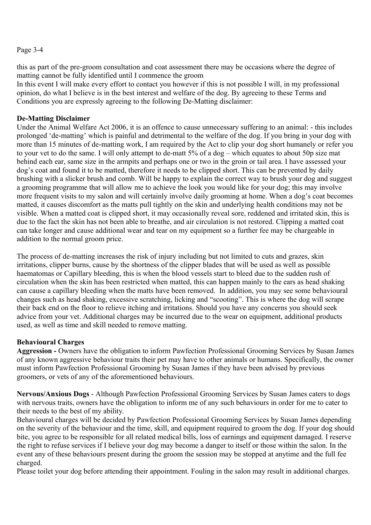#### Page 3-4

this as part of the pre-groom consultation and coat assessment there may be occasions where the degree of matting cannot be fully identified until I commence the groom

In this event I will make every effort to contact you however if this is not possible I will, in my professional opinion, do what I believe is in the best interest and welfare of the dog. By agreeing to these Terms and Conditions you are expressly agreeing to the following De-Matting disclaimer:

#### **De-Matting Disclaimer**

Under the Animal Welfare Act 2006, it is an offence to cause unnecessary suffering to an animal: - this includes prolonged 'de-matting' which is painful and detrimental to the welfare of the dog. If you bring in your dog with more than 15 minutes of de-matting work, I am required by the Act to clip your dog short humanely or refer you to your vet to do the same. I will only attempt to de-matt 5% of a dog – which equates to about 50p size mat behind each ear, same size in the armpits and perhaps one or two in the groin or tail area. I have assessed your dog's coat and found it to be matted, therefore it needs to be clipped short. This can be prevented by daily brushing with a slicker brush and comb. Will be happy to explain the correct way to brush your dog and suggest a grooming programme that will allow me to achieve the look you would like for your dog; this may involve more frequent visits to my salon and will certainly involve daily grooming at home. When a dog's coat becomes matted, it causes discomfort as the matts pull tightly on the skin and underlying health conditions may not be visible. When a matted coat is clipped short, it may occasionally reveal sore, reddened and irritated skin, this is due to the fact the skin has not been able to breathe, and air circulation is not restored. Clipping a matted coat can take longer and cause additional wear and tear on my equipment so a further fee may be chargeable in addition to the normal groom price.

The process of de-matting increases the risk of injury including but not limited to cuts and grazes, skin irritations, clipper burns, cause by the shortness of the clipper blades that will be used as well as possible haematomas or Capillary bleeding, this is when the blood vessels start to bleed due to the sudden rush of circulation when the skin has been restricted when matted, this can happen mainly to the ears as head shaking can cause a capillary bleeding when the matts have been removed. In addition, you may see some behavioural changes such as head shaking, excessive scratching, licking and "scooting". This is where the dog will scrape their back end on the floor to relieve itching and irritations. Should you have any concerns you should seek advice from your vet. Additional charges may be incurred due to the wear on equipment, additional products used, as well as time and skill needed to remove matting.

#### **Behavioural Charges**

**Aggression -** Owners have the obligation to inform Pawfection Professional Grooming Services by Susan James of any known aggressive behaviour traits their pet may have to other animals or humans. Specifically, the owner must inform Pawfection Professional Grooming by Susan James if they have been advised by previous groomers, or vets of any of the aforementioned behaviours.

**Nervous/Anxious Dogs** - Although Pawfection Professional Grooming Services by Susan James caters to dogs with nervous traits, owners have the obligation to inform me of any such behaviours in order for me to cater to their needs to the best of my ability.

Behavioural charges will be decided by Pawfection Professional Grooming Services by Susan James depending on the severity of the behaviour and the time, skill, and equipment required to groom the dog. If your dog should bite, you agree to be responsible for all related medical bills, loss of earnings and equipment damaged. I reserve the right to refuse services if I believe your dog may become a danger to itself or those within the salon. In the event any of these behaviours present during the groom the session may be stopped at anytime and the full fee charged.

Please toilet your dog before attending their appointment. Fouling in the salon may result in additional charges.